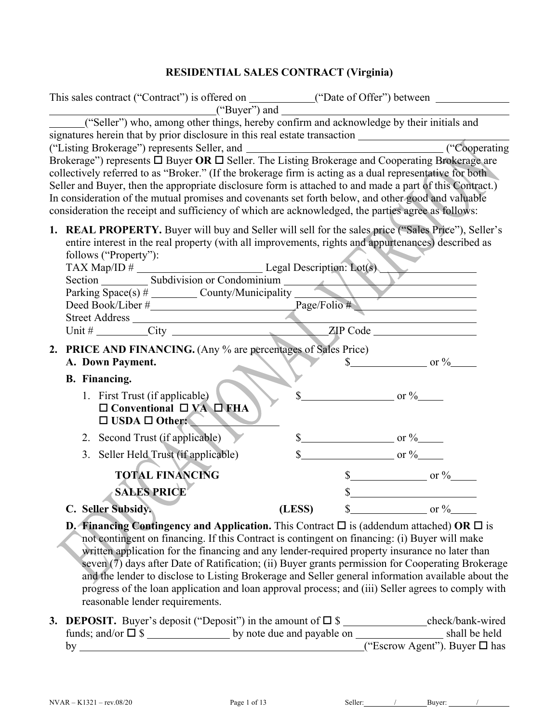# **RESIDENTIAL SALES CONTRACT (Virginia)**

| This sales contract ("Contract") is offered on ____________("Date of Offer") between _______________                                                                                                                                                                                                                                                                                                                                                                                                                                |        |                                                |
|-------------------------------------------------------------------------------------------------------------------------------------------------------------------------------------------------------------------------------------------------------------------------------------------------------------------------------------------------------------------------------------------------------------------------------------------------------------------------------------------------------------------------------------|--------|------------------------------------------------|
| $("Buyer")$ and $\qquad \qquad$<br>("Seller") who, among other things, hereby confirm and acknowledge by their initials and                                                                                                                                                                                                                                                                                                                                                                                                         |        |                                                |
| Brokerage") represents □ Buyer OR □ Seller. The Listing Brokerage and Cooperating Brokerage are<br>collectively referred to as "Broker." (If the brokerage firm is acting as a dual representative for both<br>Seller and Buyer, then the appropriate disclosure form is attached to and made a part of this Contract.)<br>In consideration of the mutual promises and covenants set forth below, and other good and valuable<br>consideration the receipt and sufficiency of which are acknowledged, the parties agree as follows: |        | ("Cooperating                                  |
| 1. REAL PROPERTY. Buyer will buy and Seller will sell for the sales price ("Sales Price"), Seller's<br>entire interest in the real property (with all improvements, rights and appurtenances) described as<br>follows ("Property"):<br>$TAX Map/ID \#$ Legal Description: Lot(s)                                                                                                                                                                                                                                                    |        |                                                |
| Section Space(s) # Subdivision or Condominium $\frac{\text{Subdivision or Condominium}}{\text{County/Municipality}}$                                                                                                                                                                                                                                                                                                                                                                                                                |        |                                                |
|                                                                                                                                                                                                                                                                                                                                                                                                                                                                                                                                     |        |                                                |
| Deed Book/Liber #<br>Street Address XIP Code XIP Code                                                                                                                                                                                                                                                                                                                                                                                                                                                                               |        |                                                |
|                                                                                                                                                                                                                                                                                                                                                                                                                                                                                                                                     |        |                                                |
| 2. PRICE AND FINANCING. (Any % are percentages of Sales Price)<br>A. Down Payment.                                                                                                                                                                                                                                                                                                                                                                                                                                                  |        | $\frac{\S}{}$ or $\frac{\%}{}$                 |
| <b>B.</b> Financing.                                                                                                                                                                                                                                                                                                                                                                                                                                                                                                                |        |                                                |
| 1. First Trust (if applicable)<br>$\Box$ Conventional $\Box$ VA $\Box$ FHA<br>$\Box$ USDA $\Box$ Other:                                                                                                                                                                                                                                                                                                                                                                                                                             |        | $\frac{\text{S}}{\text{S}}$ or $\frac{\%}{\%}$ |
| 2. Second Trust (if applicable)                                                                                                                                                                                                                                                                                                                                                                                                                                                                                                     |        | $\frac{\text{S}}{\text{S}}$ or $\frac{\%}{\%}$ |
| 3. Seller Held Trust (if applicable)                                                                                                                                                                                                                                                                                                                                                                                                                                                                                                |        | $\frac{\text{S}}{\text{S}}$ or %               |
| <b>TOTAL FINANCING</b><br><b>SALES PRICE</b>                                                                                                                                                                                                                                                                                                                                                                                                                                                                                        |        | $\frac{\text{S}}{\text{S}}$ or %<br>s          |
| C. Seller Subsidy.                                                                                                                                                                                                                                                                                                                                                                                                                                                                                                                  | (LESS) | $\frac{\text{S}}{\text{S}}$ or $\frac{\%}{\%}$ |
| <b>D. Financing Contingency and Application.</b> This Contract $\Box$ is (addendum attached) OR $\Box$ is<br>not contingent on financing. If this Contract is contingent on financing: (i) Buyer will make                                                                                                                                                                                                                                                                                                                          |        |                                                |

written application for the financing and any lender-required property insurance no later than seven (7) days after Date of Ratification; (ii) Buyer grants permission for Cooperating Brokerage and the lender to disclose to Listing Brokerage and Seller general information available about the progress of the loan application and loan approval process; and (iii) Seller agrees to comply with reasonable lender requirements.

|                            | <b>3. DEPOSIT.</b> Buyer's deposit ("Deposit") in the amount of $\square$ \$ | check/bank-wired                      |
|----------------------------|------------------------------------------------------------------------------|---------------------------------------|
| funds; and/or $\square$ \$ | by note due and payable on                                                   | shall be held                         |
|                            |                                                                              | ("Escrow Agent"). Buyer $\square$ has |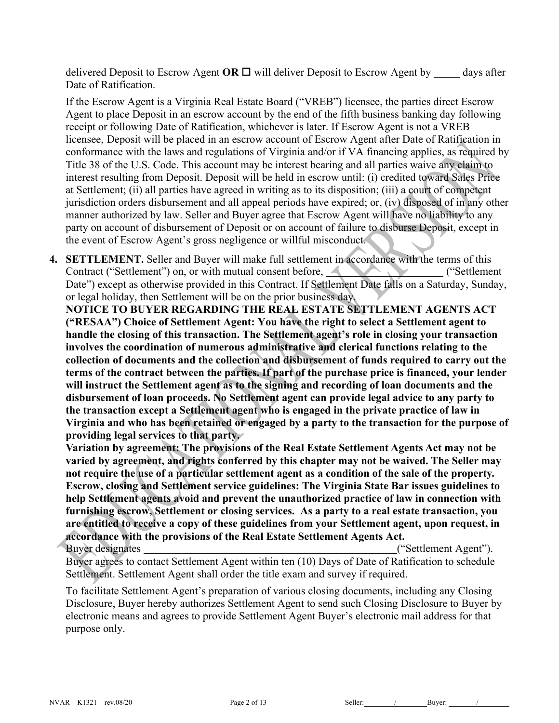delivered Deposit to Escrow Agent **OR**  $\Box$  will deliver Deposit to Escrow Agent by  $\Box$  days after Date of Ratification.

If the Escrow Agent is a Virginia Real Estate Board ("VREB") licensee, the parties direct Escrow Agent to place Deposit in an escrow account by the end of the fifth business banking day following receipt or following Date of Ratification, whichever is later. If Escrow Agent is not a VREB licensee, Deposit will be placed in an escrow account of Escrow Agent after Date of Ratification in conformance with the laws and regulations of Virginia and/or if VA financing applies, as required by Title 38 of the U.S. Code. This account may be interest bearing and all parties waive any claim to interest resulting from Deposit. Deposit will be held in escrow until: (i) credited toward Sales Price at Settlement; (ii) all parties have agreed in writing as to its disposition; (iii) a court of competent jurisdiction orders disbursement and all appeal periods have expired; or, (iv) disposed of in any other manner authorized by law. Seller and Buyer agree that Escrow Agent will have no liability to any party on account of disbursement of Deposit or on account of failure to disburse Deposit, except in the event of Escrow Agent's gross negligence or willful misconduct.

**4. SETTLEMENT.** Seller and Buyer will make full settlement in accordance with the terms of this Contract ("Settlement") on, or with mutual consent before, (The Contract ("Settlement") on  $\alpha$ Date") except as otherwise provided in this Contract. If Settlement Date falls on a Saturday, Sunday, or legal holiday, then Settlement will be on the prior business day.

**NOTICE TO BUYER REGARDING THE REAL ESTATE SETTLEMENT AGENTS ACT ("RESAA") Choice of Settlement Agent: You have the right to select a Settlement agent to handle the closing of this transaction. The Settlement agent's role in closing your transaction involves the coordination of numerous administrative and clerical functions relating to the collection of documents and the collection and disbursement of funds required to carry out the terms of the contract between the parties. If part of the purchase price is financed, your lender will instruct the Settlement agent as to the signing and recording of loan documents and the disbursement of loan proceeds. No Settlement agent can provide legal advice to any party to the transaction except a Settlement agent who is engaged in the private practice of law in Virginia and who has been retained or engaged by a party to the transaction for the purpose of providing legal services to that party.** 

**Variation by agreement: The provisions of the Real Estate Settlement Agents Act may not be varied by agreement, and rights conferred by this chapter may not be waived. The Seller may not require the use of a particular settlement agent as a condition of the sale of the property. Escrow, closing and Settlement service guidelines: The Virginia State Bar issues guidelines to help Settlement agents avoid and prevent the unauthorized practice of law in connection with furnishing escrow, Settlement or closing services. As a party to a real estate transaction, you are entitled to receive a copy of these guidelines from your Settlement agent, upon request, in accordance with the provisions of the Real Estate Settlement Agents Act.**

Buyer designates ("Settlement Agent"). Buyer agrees to contact Settlement Agent within ten (10) Days of Date of Ratification to schedule Settlement. Settlement Agent shall order the title exam and survey if required.

To facilitate Settlement Agent's preparation of various closing documents, including any Closing Disclosure, Buyer hereby authorizes Settlement Agent to send such Closing Disclosure to Buyer by electronic means and agrees to provide Settlement Agent Buyer's electronic mail address for that purpose only.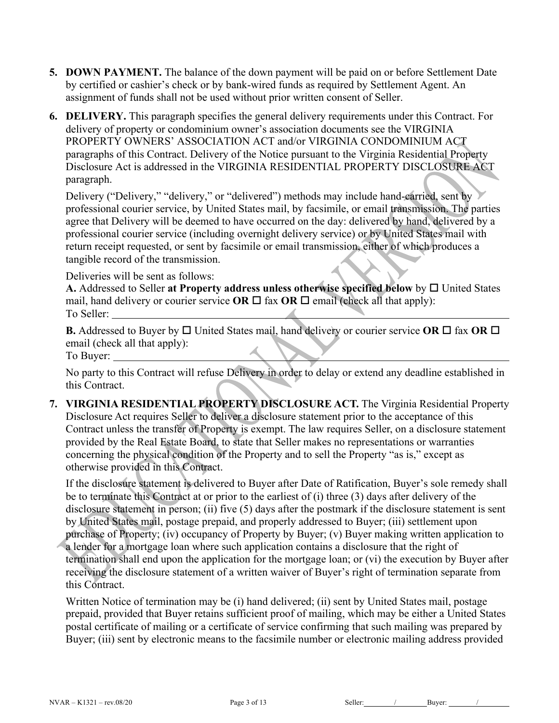- **5. DOWN PAYMENT.** The balance of the down payment will be paid on or before Settlement Date by certified or cashier's check or by bank-wired funds as required by Settlement Agent. An assignment of funds shall not be used without prior written consent of Seller.
- **6. DELIVERY.** This paragraph specifies the general delivery requirements under this Contract. For delivery of property or condominium owner's association documents see the VIRGINIA PROPERTY OWNERS' ASSOCIATION ACT and/or VIRGINIA CONDOMINIUM ACT paragraphs of this Contract. Delivery of the Notice pursuant to the Virginia Residential Property Disclosure Act is addressed in the VIRGINIA RESIDENTIAL PROPERTY DISCLOSURE ACT paragraph.

Delivery ("Delivery," "delivery," or "delivered") methods may include hand-carried, sent by professional courier service, by United States mail, by facsimile, or email transmission. The parties agree that Delivery will be deemed to have occurred on the day: delivered by hand, delivered by a professional courier service (including overnight delivery service) or by United States mail with return receipt requested, or sent by facsimile or email transmission, either of which produces a tangible record of the transmission.

Deliveries will be sent as follows:

A. Addressed to Seller at Property address unless otherwise specified below by  $\Box$  United States mail, hand delivery or courier service **OR**  $\Box$  fax **OR**  $\Box$  email (check all that apply): To Seller:

**B.** Addressed to Buyer by  $\Box$  United States mail, hand delivery or courier service OR  $\Box$  fax OR  $\Box$ email (check all that apply):

To Buyer:

No party to this Contract will refuse Delivery in order to delay or extend any deadline established in this Contract.

**7. VIRGINIA RESIDENTIAL PROPERTY DISCLOSURE ACT.** The Virginia Residential Property Disclosure Act requires Seller to deliver a disclosure statement prior to the acceptance of this Contract unless the transfer of Property is exempt. The law requires Seller, on a disclosure statement provided by the Real Estate Board, to state that Seller makes no representations or warranties concerning the physical condition of the Property and to sell the Property "as is," except as otherwise provided in this Contract.

If the disclosure statement is delivered to Buyer after Date of Ratification, Buyer's sole remedy shall be to terminate this Contract at or prior to the earliest of (i) three (3) days after delivery of the disclosure statement in person; (ii) five (5) days after the postmark if the disclosure statement is sent by United States mail, postage prepaid, and properly addressed to Buyer; (iii) settlement upon purchase of Property; (iv) occupancy of Property by Buyer; (v) Buyer making written application to a lender for a mortgage loan where such application contains a disclosure that the right of termination shall end upon the application for the mortgage loan; or (vi) the execution by Buyer after receiving the disclosure statement of a written waiver of Buyer's right of termination separate from

this Contract.

Written Notice of termination may be (i) hand delivered; (ii) sent by United States mail, postage prepaid, provided that Buyer retains sufficient proof of mailing, which may be either a United States postal certificate of mailing or a certificate of service confirming that such mailing was prepared by Buyer; (iii) sent by electronic means to the facsimile number or electronic mailing address provided

NVAR – K1321 – rev.08/20 Page 3 of 13 Seller: / Buyer: / / Buyer: / /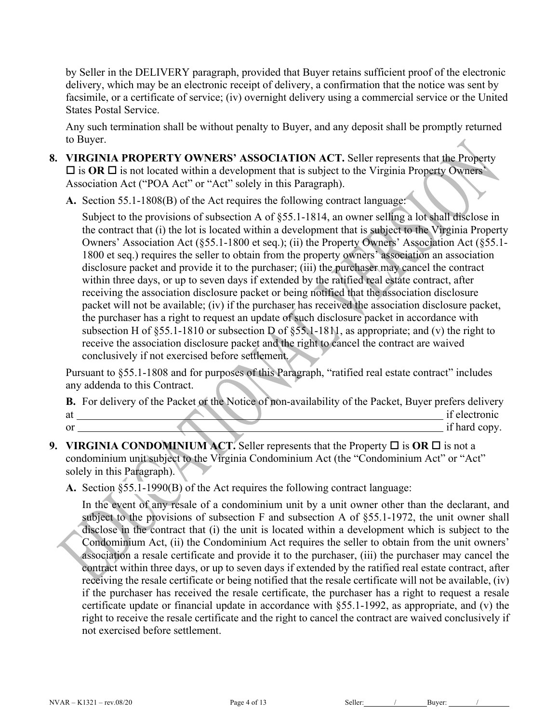by Seller in the DELIVERY paragraph, provided that Buyer retains sufficient proof of the electronic delivery, which may be an electronic receipt of delivery, a confirmation that the notice was sent by facsimile, or a certificate of service; (iv) overnight delivery using a commercial service or the United States Postal Service.

Any such termination shall be without penalty to Buyer, and any deposit shall be promptly returned to Buyer.

- **8. VIRGINIA PROPERTY OWNERS' ASSOCIATION ACT.** Seller represents that the Property  $\square$  is OR  $\square$  is not located within a development that is subject to the Virginia Property Owners' Association Act ("POA Act" or "Act" solely in this Paragraph).
	- **A.** Section 55.1-1808(B) of the Act requires the following contract language:

Subject to the provisions of subsection A of §55.1-1814, an owner selling a lot shall disclose in the contract that (i) the lot is located within a development that is subject to the Virginia Property Owners' Association Act (§55.1-1800 et seq.); (ii) the Property Owners' Association Act (§55.1- 1800 et seq.) requires the seller to obtain from the property owners' association an association disclosure packet and provide it to the purchaser; (iii) the purchaser may cancel the contract within three days, or up to seven days if extended by the ratified real estate contract, after receiving the association disclosure packet or being notified that the association disclosure packet will not be available; (iv) if the purchaser has received the association disclosure packet, the purchaser has a right to request an update of such disclosure packet in accordance with subsection H of §55.1-1810 or subsection D of §55.1-1811, as appropriate; and (v) the right to receive the association disclosure packet and the right to cancel the contract are waived conclusively if not exercised before settlement.

Pursuant to §55.1-1808 and for purposes of this Paragraph, "ratified real estate contract" includes any addenda to this Contract.

**B.** For delivery of the Packet or the Notice of non-availability of the Packet, Buyer prefers delivery at if electronic intervals at if electronic intervals at  $\alpha$  if electronic intervals at  $\alpha$ or if hard copy.

- **9. VIRGINIA CONDOMINIUM ACT.** Seller represents that the Property  $\Box$  is OR  $\Box$  is not a condominium unit subject to the Virginia Condominium Act (the "Condominium Act" or "Act" solely in this Paragraph).
	- **A.** Section §55.1-1990(B) of the Act requires the following contract language:

In the event of any resale of a condominium unit by a unit owner other than the declarant, and subject to the provisions of subsection F and subsection A of §55.1-1972, the unit owner shall disclose in the contract that (i) the unit is located within a development which is subject to the Condominium Act, (ii) the Condominium Act requires the seller to obtain from the unit owners' association a resale certificate and provide it to the purchaser, (iii) the purchaser may cancel the contract within three days, or up to seven days if extended by the ratified real estate contract, after receiving the resale certificate or being notified that the resale certificate will not be available, (iv) if the purchaser has received the resale certificate, the purchaser has a right to request a resale certificate update or financial update in accordance with §55.1-1992, as appropriate, and (v) the right to receive the resale certificate and the right to cancel the contract are waived conclusively if not exercised before settlement.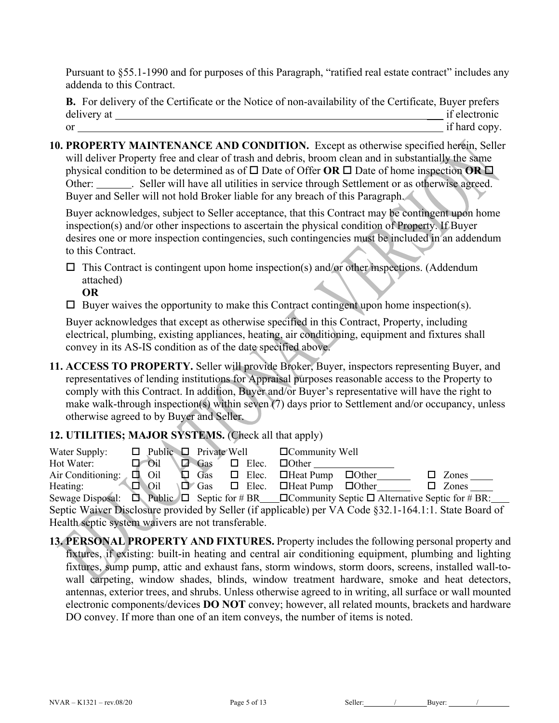Pursuant to §55.1-1990 and for purposes of this Paragraph, "ratified real estate contract" includes any addenda to this Contract.

**B.** For delivery of the Certificate or the Notice of non-availability of the Certificate, Buyer prefers delivery at \_\_\_ if electronic or if hard copy.

**10. PROPERTY MAINTENANCE AND CONDITION.** Except as otherwise specified herein, Seller will deliver Property free and clear of trash and debris, broom clean and in substantially the same physical condition to be determined as of  $\square$  Date of Offer **OR**  $\square$  Date of home inspection **OR**  $\square$ Other: \_\_\_\_\_\_\_\_. Seller will have all utilities in service through Settlement or as otherwise agreed. Buyer and Seller will not hold Broker liable for any breach of this Paragraph.

Buyer acknowledges, subject to Seller acceptance, that this Contract may be contingent upon home inspection(s) and/or other inspections to ascertain the physical condition of Property. If Buyer desires one or more inspection contingencies, such contingencies must be included in an addendum to this Contract.

 $\square$  This Contract is contingent upon home inspection(s) and/or other inspections. (Addendum attached)

**OR**

 $\square$  Buyer waives the opportunity to make this Contract contingent upon home inspection(s).

Buyer acknowledges that except as otherwise specified in this Contract, Property, including electrical, plumbing, existing appliances, heating, air conditioning, equipment and fixtures shall convey in its AS-IS condition as of the date specified above.

**11. ACCESS TO PROPERTY.** Seller will provide Broker, Buyer, inspectors representing Buyer, and representatives of lending institutions for Appraisal purposes reasonable access to the Property to comply with this Contract. In addition, Buyer and/or Buyer's representative will have the right to make walk-through inspection(s) within seven (7) days prior to Settlement and/or occupancy, unless otherwise agreed to by Buyer and Seller.

# **12. UTILITIES; MAJOR SYSTEMS.** (Check all that apply)

| Water Supply:                                                                                                     |  |                      |  | $\Box$ Public $\Box$ Private Well |  |              | $\Box$ Community Well                                 |  |              |
|-------------------------------------------------------------------------------------------------------------------|--|----------------------|--|-----------------------------------|--|--------------|-------------------------------------------------------|--|--------------|
| Hot Water:                                                                                                        |  | $\Box$ $\bigcirc$ il |  | Gas                               |  | $\Box$ Elec. | $\Box$ Other                                          |  |              |
| Air Conditioning:                                                                                                 |  | $\Box$ Oil           |  | $\Box$ Gas $\Box$ Elec.           |  |              | $\Box$ Heat Pump $\Box$ Other                         |  | Zones        |
| Heating:                                                                                                          |  | $\Box$ Oil           |  |                                   |  |              | $\Box$ Gas $\Box$ Elec. $\Box$ Heat Pump $\Box$ Other |  | $\Box$ Zones |
| Sewage Disposal: $\Box$ Public $\Box$ Septic for # BR $\Box$ Community Septic $\Box$ Alternative Septic for # BR: |  |                      |  |                                   |  |              |                                                       |  |              |
| Septic Waiver Disclosure provided by Seller (if applicable) per VA Code §32.1-164.1:1. State Board of             |  |                      |  |                                   |  |              |                                                       |  |              |
| Health septic system waivers are not transferable.                                                                |  |                      |  |                                   |  |              |                                                       |  |              |

**13. PERSONAL PROPERTY AND FIXTURES.** Property includes the following personal property and fixtures, if existing: built-in heating and central air conditioning equipment, plumbing and lighting fixtures, sump pump, attic and exhaust fans, storm windows, storm doors, screens, installed wall-towall carpeting, window shades, blinds, window treatment hardware, smoke and heat detectors, antennas, exterior trees, and shrubs. Unless otherwise agreed to in writing, all surface or wall mounted electronic components/devices **DO NOT** convey; however, all related mounts, brackets and hardware DO convey. If more than one of an item conveys, the number of items is noted.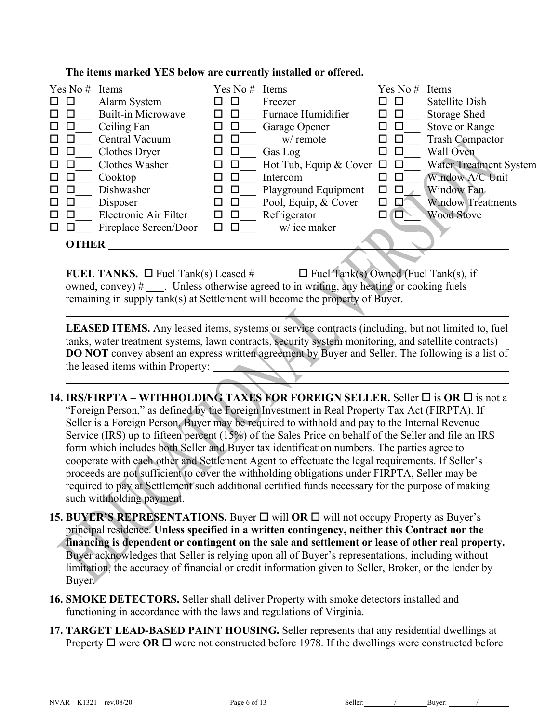#### **The items marked YES below are currently installed or offered.**

| Yes No #          | Items                     | Yes No# | Items                         | Yes No#     | Items                         |
|-------------------|---------------------------|---------|-------------------------------|-------------|-------------------------------|
| □                 | Alarm System              |         | Freezer                       |             | Satellite Dish                |
| □                 | <b>Built-in Microwave</b> | □       | Furnace Humidifier            |             | <b>Storage Shed</b>           |
| Ц                 | Ceiling Fan               | ப       | Garage Opener                 | ⊔           | <b>Stove or Range</b>         |
| □                 | Central Vacuum            | □       | w/ remote                     | Ц           | <b>Trash Compactor</b>        |
|                   | Clothes Dryer             | □       | Gas Log                       |             | Wall Oven                     |
|                   | Clothes Washer            | □       | Hot Tub, Equip & Cover $\Box$ | $\Box$      | <b>Water Treatment System</b> |
| Ц                 | Cooktop                   | □       | Intercom                      |             | Window A/C Unit               |
| $\mathbf{I}$<br>ш | Dishwasher                | □       | Playground Equipment          | □<br>П      | Window Fan                    |
| $\Box$<br>Ц       | Disposer                  | □<br>ப  | Pool, Equip, & Cover          | □<br>IJ     | <b>Window Treatments</b>      |
| □                 | Electronic Air Filter     | □<br>□  | Refrigerator                  | $\Box$<br>□ | <b>Wood Stove</b>             |
|                   | Fireplace Screen/Door     | П       | w/ice maker                   |             |                               |
| <b>OTHER</b>      |                           |         |                               |             |                               |

**FUEL TANKS.**  $\Box$  Fuel Tank(s) Leased #  $\Box$  Fuel Tank(s) Owned (Fuel Tank(s), if owned, convey)  $\#$  \_\_\_\_. Unless otherwise agreed to in writing, any heating or cooking fuels remaining in supply tank(s) at Settlement will become the property of Buyer.

LEASED ITEMS. Any leased items, systems or service contracts (including, but not limited to, fuel tanks, water treatment systems, lawn contracts, security system monitoring, and satellite contracts) **DO NOT** convey absent an express written agreement by Buyer and Seller. The following is a list of the leased items within Property:

- **14. IRS/FIRPTA WITHHOLDING TAXES FOR FOREIGN SELLER.** Seller  $\Box$  is OR  $\Box$  is not a "Foreign Person," as defined by the Foreign Investment in Real Property Tax Act (FIRPTA). If Seller is a Foreign Person, Buyer may be required to withhold and pay to the Internal Revenue Service (IRS) up to fifteen percent (15%) of the Sales Price on behalf of the Seller and file an IRS form which includes both Seller and Buyer tax identification numbers. The parties agree to cooperate with each other and Settlement Agent to effectuate the legal requirements. If Seller's proceeds are not sufficient to cover the withholding obligations under FIRPTA, Seller may be required to pay at Settlement such additional certified funds necessary for the purpose of making such withholding payment.
- **15. BUYER'S REPRESENTATIONS.** Buyer □ will OR □ will not occupy Property as Buyer's principal residence. **Unless specified in a written contingency, neither this Contract nor the financing is dependent or contingent on the sale and settlement or lease of other real property.**  Buyer acknowledges that Seller is relying upon all of Buyer's representations, including without limitation, the accuracy of financial or credit information given to Seller, Broker, or the lender by Buyer.
- **16. SMOKE DETECTORS.** Seller shall deliver Property with smoke detectors installed and functioning in accordance with the laws and regulations of Virginia.
- **17. TARGET LEAD-BASED PAINT HOUSING.** Seller represents that any residential dwellings at Property  $\Box$  were  $\overline{OR}$   $\Box$  were not constructed before 1978. If the dwellings were constructed before

NVAR – K1321 – rev.08/20 Page 6 of 13 Seller: / Buyer: /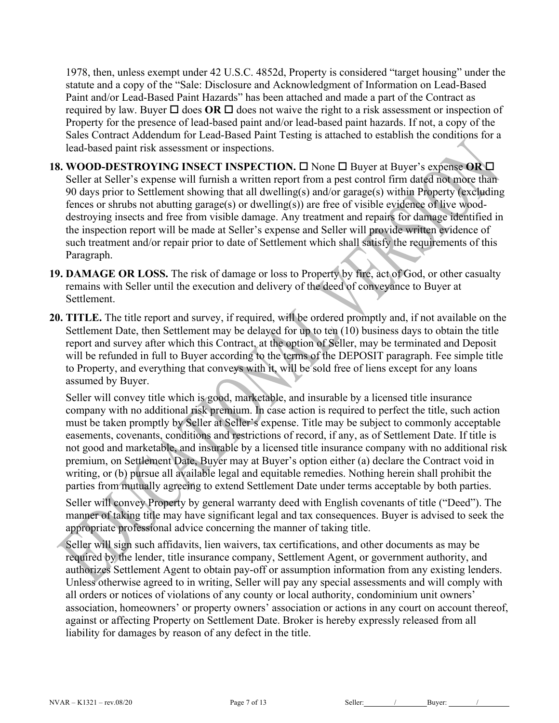1978, then, unless exempt under 42 U.S.C. 4852d, Property is considered "target housing" under the statute and a copy of the "Sale: Disclosure and Acknowledgment of Information on Lead-Based Paint and/or Lead-Based Paint Hazards" has been attached and made a part of the Contract as required by law. Buyer  $\Box$  does **OR**  $\Box$  does not waive the right to a risk assessment or inspection of Property for the presence of lead-based paint and/or lead-based paint hazards. If not, a copy of the Sales Contract Addendum for Lead-Based Paint Testing is attached to establish the conditions for a lead-based paint risk assessment or inspections.

- **18. WOOD-DESTROYING INSECT INSPECTION.**  $\Box$  None  $\Box$  Buyer at Buyer's expense OR  $\Box$ Seller at Seller's expense will furnish a written report from a pest control firm dated not more than 90 days prior to Settlement showing that all dwelling(s) and/or garage(s) within Property (excluding fences or shrubs not abutting garage(s) or dwelling(s)) are free of visible evidence of live wooddestroying insects and free from visible damage. Any treatment and repairs for damage identified in the inspection report will be made at Seller's expense and Seller will provide written evidence of such treatment and/or repair prior to date of Settlement which shall satisfy the requirements of this Paragraph.
- **19. DAMAGE OR LOSS.** The risk of damage or loss to Property by fire, act of God, or other casualty remains with Seller until the execution and delivery of the deed of conveyance to Buyer at Settlement.
- **20. TITLE.** The title report and survey, if required, will be ordered promptly and, if not available on the Settlement Date, then Settlement may be delayed for up to ten (10) business days to obtain the title report and survey after which this Contract, at the option of Seller, may be terminated and Deposit will be refunded in full to Buyer according to the terms of the DEPOSIT paragraph. Fee simple title to Property, and everything that conveys with it, will be sold free of liens except for any loans assumed by Buyer.

Seller will convey title which is good, marketable, and insurable by a licensed title insurance company with no additional risk premium. In case action is required to perfect the title, such action must be taken promptly by Seller at Seller's expense. Title may be subject to commonly acceptable easements, covenants, conditions and restrictions of record, if any, as of Settlement Date. If title is not good and marketable, and insurable by a licensed title insurance company with no additional risk premium, on Settlement Date, Buyer may at Buyer's option either (a) declare the Contract void in writing, or (b) pursue all available legal and equitable remedies. Nothing herein shall prohibit the parties from mutually agreeing to extend Settlement Date under terms acceptable by both parties. Seller will convey Property by general warranty deed with English covenants of title ("Deed"). The

manner of taking title may have significant legal and tax consequences. Buyer is advised to seek the appropriate professional advice concerning the manner of taking title.

Seller will sign such affidavits, lien waivers, tax certifications, and other documents as may be required by the lender, title insurance company, Settlement Agent, or government authority, and authorizes Settlement Agent to obtain pay-off or assumption information from any existing lenders. Unless otherwise agreed to in writing, Seller will pay any special assessments and will comply with all orders or notices of violations of any county or local authority, condominium unit owners' association, homeowners' or property owners' association or actions in any court on account thereof, against or affecting Property on Settlement Date. Broker is hereby expressly released from all liability for damages by reason of any defect in the title.

NVAR – K1321 – rev.08/20 Page 7 of 13 Seller: / Buyer: / / Buyer: / /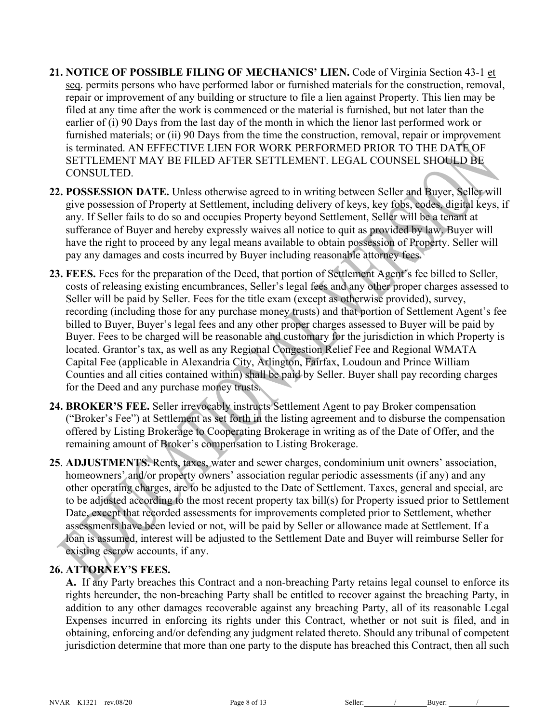- **21. NOTICE OF POSSIBLE FILING OF MECHANICS' LIEN.** Code of Virginia Section 43-1 et seq. permits persons who have performed labor or furnished materials for the construction, removal, repair or improvement of any building or structure to file a lien against Property. This lien may be filed at any time after the work is commenced or the material is furnished, but not later than the earlier of (i) 90 Days from the last day of the month in which the lienor last performed work or furnished materials; or (ii) 90 Days from the time the construction, removal, repair or improvement is terminated. AN EFFECTIVE LIEN FOR WORK PERFORMED PRIOR TO THE DATE OF SETTLEMENT MAY BE FILED AFTER SETTLEMENT. LEGAL COUNSEL SHOULD BE CONSULTED.
- **22. POSSESSION DATE.** Unless otherwise agreed to in writing between Seller and Buyer, Seller will give possession of Property at Settlement, including delivery of keys, key fobs, codes, digital keys, if any. If Seller fails to do so and occupies Property beyond Settlement, Seller will be a tenant at sufferance of Buyer and hereby expressly waives all notice to quit as provided by law. Buyer will have the right to proceed by any legal means available to obtain possession of Property. Seller will pay any damages and costs incurred by Buyer including reasonable attorney fees.
- **23. FEES.** Fees for the preparation of the Deed, that portion of Settlement Agent's fee billed to Seller, costs of releasing existing encumbrances, Seller's legal fees and any other proper charges assessed to Seller will be paid by Seller. Fees for the title exam (except as otherwise provided), survey, recording (including those for any purchase money trusts) and that portion of Settlement Agent's fee billed to Buyer, Buyer's legal fees and any other proper charges assessed to Buyer will be paid by Buyer. Fees to be charged will be reasonable and customary for the jurisdiction in which Property is located. Grantor's tax, as well as any Regional Congestion Relief Fee and Regional WMATA Capital Fee (applicable in Alexandria City, Arlington, Fairfax, Loudoun and Prince William Counties and all cities contained within) shall be paid by Seller. Buyer shall pay recording charges for the Deed and any purchase money trusts.
- **24. BROKER'S FEE.** Seller irrevocably instructs Settlement Agent to pay Broker compensation ("Broker's Fee") at Settlement as set forth in the listing agreement and to disburse the compensation offered by Listing Brokerage to Cooperating Brokerage in writing as of the Date of Offer, and the remaining amount of Broker's compensation to Listing Brokerage.
- **25**. **ADJUSTMENTS.** Rents, taxes, water and sewer charges, condominium unit owners' association, homeowners' and/or property owners' association regular periodic assessments (if any) and any other operating charges, are to be adjusted to the Date of Settlement. Taxes, general and special, are to be adjusted according to the most recent property tax bill(s) for Property issued prior to Settlement Date, except that recorded assessments for improvements completed prior to Settlement, whether assessments have been levied or not, will be paid by Seller or allowance made at Settlement. If a loan is assumed, interest will be adjusted to the Settlement Date and Buyer will reimburse Seller for existing escrow accounts, if any.

# **26. ATTORNEY'S FEES.**

**A.** If any Party breaches this Contract and a non-breaching Party retains legal counsel to enforce its rights hereunder, the non-breaching Party shall be entitled to recover against the breaching Party, in addition to any other damages recoverable against any breaching Party, all of its reasonable Legal Expenses incurred in enforcing its rights under this Contract, whether or not suit is filed, and in obtaining, enforcing and/or defending any judgment related thereto. Should any tribunal of competent jurisdiction determine that more than one party to the dispute has breached this Contract, then all such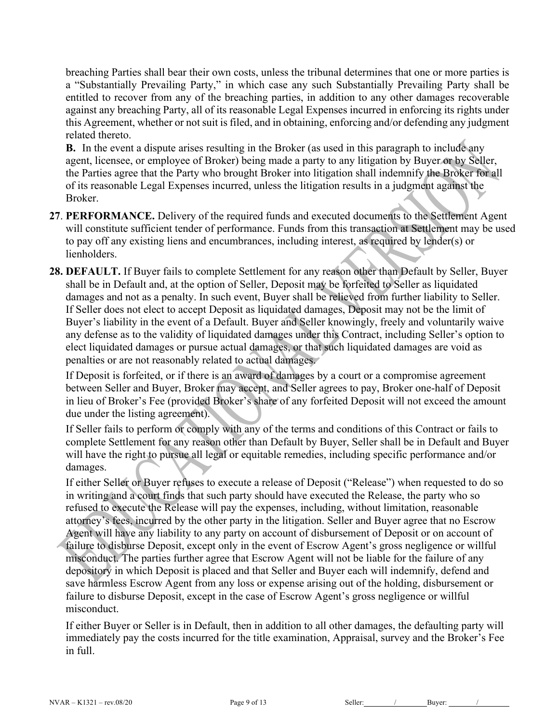breaching Parties shall bear their own costs, unless the tribunal determines that one or more parties is a "Substantially Prevailing Party," in which case any such Substantially Prevailing Party shall be entitled to recover from any of the breaching parties, in addition to any other damages recoverable against any breaching Party, all of its reasonable Legal Expenses incurred in enforcing its rights under this Agreement, whether or not suit is filed, and in obtaining, enforcing and/or defending any judgment related thereto.

**B.** In the event a dispute arises resulting in the Broker (as used in this paragraph to include any agent, licensee, or employee of Broker) being made a party to any litigation by Buyer or by Seller, the Parties agree that the Party who brought Broker into litigation shall indemnify the Broker for all of its reasonable Legal Expenses incurred, unless the litigation results in a judgment against the Broker.

- **27**. **PERFORMANCE.** Delivery of the required funds and executed documents to the Settlement Agent will constitute sufficient tender of performance. Funds from this transaction at Settlement may be used to pay off any existing liens and encumbrances, including interest, as required by lender(s) or lienholders.
- **28. DEFAULT.** If Buyer fails to complete Settlement for any reason other than Default by Seller, Buyer shall be in Default and, at the option of Seller, Deposit may be forfeited to Seller as liquidated damages and not as a penalty. In such event, Buyer shall be relieved from further liability to Seller. If Seller does not elect to accept Deposit as liquidated damages, Deposit may not be the limit of Buyer's liability in the event of a Default. Buyer and Seller knowingly, freely and voluntarily waive any defense as to the validity of liquidated damages under this Contract, including Seller's option to elect liquidated damages or pursue actual damages, or that such liquidated damages are void as penalties or are not reasonably related to actual damages.

If Deposit is forfeited, or if there is an award of damages by a court or a compromise agreement between Seller and Buyer, Broker may accept, and Seller agrees to pay, Broker one-half of Deposit in lieu of Broker's Fee (provided Broker's share of any forfeited Deposit will not exceed the amount due under the listing agreement).

If Seller fails to perform or comply with any of the terms and conditions of this Contract or fails to complete Settlement for any reason other than Default by Buyer, Seller shall be in Default and Buyer will have the right to pursue all legal or equitable remedies, including specific performance and/or damages.

If either Seller or Buyer refuses to execute a release of Deposit ("Release") when requested to do so in writing and a court finds that such party should have executed the Release, the party who so refused to execute the Release will pay the expenses, including, without limitation, reasonable attorney's fees, incurred by the other party in the litigation. Seller and Buyer agree that no Escrow Agent will have any liability to any party on account of disbursement of Deposit or on account of failure to disburse Deposit, except only in the event of Escrow Agent's gross negligence or willful misconduct. The parties further agree that Escrow Agent will not be liable for the failure of any depository in which Deposit is placed and that Seller and Buyer each will indemnify, defend and save harmless Escrow Agent from any loss or expense arising out of the holding, disbursement or failure to disburse Deposit, except in the case of Escrow Agent's gross negligence or willful misconduct.

If either Buyer or Seller is in Default, then in addition to all other damages, the defaulting party will immediately pay the costs incurred for the title examination, Appraisal, survey and the Broker's Fee in full.

NVAR – K1321 – rev.08/20 Page 9 of 13 Seller: / Buyer: /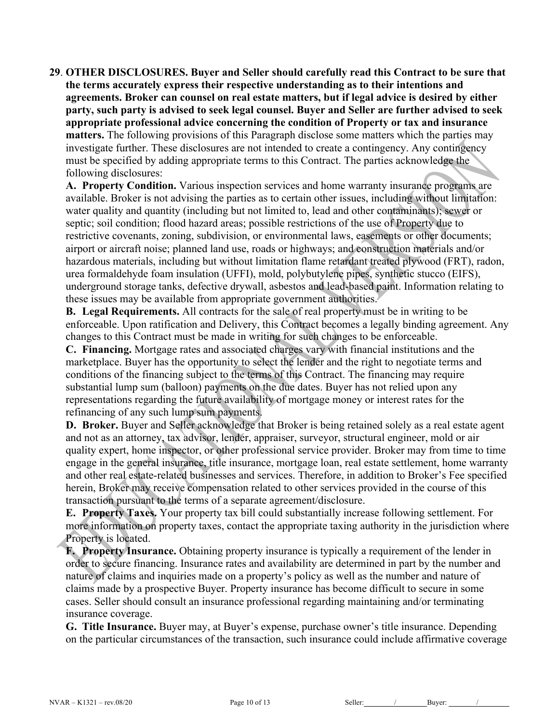**29**. **OTHER DISCLOSURES. Buyer and Seller should carefully read this Contract to be sure that the terms accurately express their respective understanding as to their intentions and agreements. Broker can counsel on real estate matters, but if legal advice is desired by either party, such party is advised to seek legal counsel. Buyer and Seller are further advised to seek appropriate professional advice concerning the condition of Property or tax and insurance matters.** The following provisions of this Paragraph disclose some matters which the parties may investigate further. These disclosures are not intended to create a contingency. Any contingency must be specified by adding appropriate terms to this Contract. The parties acknowledge the following disclosures:

**A. Property Condition.** Various inspection services and home warranty insurance programs are available. Broker is not advising the parties as to certain other issues, including without limitation: water quality and quantity (including but not limited to, lead and other contaminants); sewer or septic; soil condition; flood hazard areas; possible restrictions of the use of Property due to restrictive covenants, zoning, subdivision, or environmental laws, easements or other documents; airport or aircraft noise; planned land use, roads or highways; and construction materials and/or hazardous materials, including but without limitation flame retardant treated plywood (FRT), radon, urea formaldehyde foam insulation (UFFI), mold, polybutylene pipes, synthetic stucco (EIFS), underground storage tanks, defective drywall, asbestos and lead-based paint. Information relating to these issues may be available from appropriate government authorities.

**B. Legal Requirements.** All contracts for the sale of real property must be in writing to be enforceable. Upon ratification and Delivery, this Contract becomes a legally binding agreement. Any changes to this Contract must be made in writing for such changes to be enforceable.

**C. Financing.** Mortgage rates and associated charges vary with financial institutions and the marketplace. Buyer has the opportunity to select the lender and the right to negotiate terms and conditions of the financing subject to the terms of this Contract. The financing may require substantial lump sum (balloon) payments on the due dates. Buyer has not relied upon any representations regarding the future availability of mortgage money or interest rates for the refinancing of any such lump sum payments.

**D. Broker.** Buyer and Seller acknowledge that Broker is being retained solely as a real estate agent and not as an attorney, tax advisor, lender, appraiser, surveyor, structural engineer, mold or air quality expert, home inspector, or other professional service provider. Broker may from time to time engage in the general insurance, title insurance, mortgage loan, real estate settlement, home warranty and other real estate-related businesses and services. Therefore, in addition to Broker's Fee specified herein, Broker may receive compensation related to other services provided in the course of this transaction pursuant to the terms of a separate agreement/disclosure.

**E. Property Taxes.** Your property tax bill could substantially increase following settlement. For more information on property taxes, contact the appropriate taxing authority in the jurisdiction where Property is located.

**F. Property Insurance.** Obtaining property insurance is typically a requirement of the lender in order to secure financing. Insurance rates and availability are determined in part by the number and nature of claims and inquiries made on a property's policy as well as the number and nature of claims made by a prospective Buyer. Property insurance has become difficult to secure in some cases. Seller should consult an insurance professional regarding maintaining and/or terminating insurance coverage.

**G. Title Insurance.** Buyer may, at Buyer's expense, purchase owner's title insurance. Depending on the particular circumstances of the transaction, such insurance could include affirmative coverage

NVAR – K1321 – rev.08/20 Page 10 of 13 Seller: / Buyer: / Buyer: / /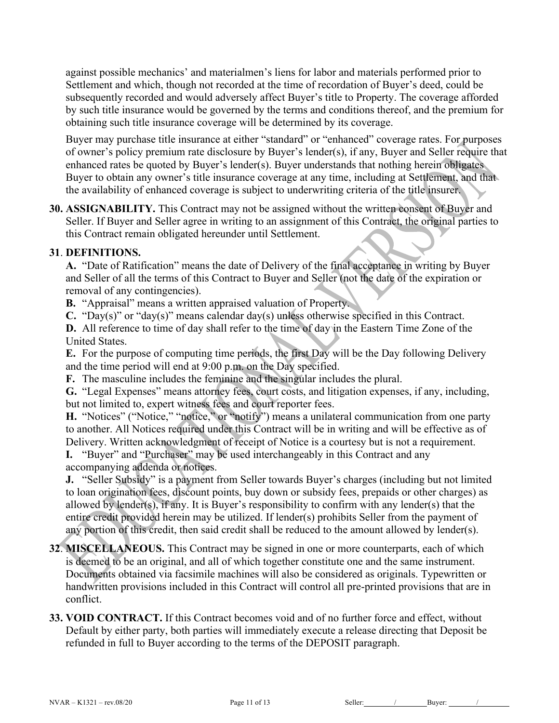against possible mechanics' and materialmen's liens for labor and materials performed prior to Settlement and which, though not recorded at the time of recordation of Buyer's deed, could be subsequently recorded and would adversely affect Buyer's title to Property. The coverage afforded by such title insurance would be governed by the terms and conditions thereof, and the premium for obtaining such title insurance coverage will be determined by its coverage.

Buyer may purchase title insurance at either "standard" or "enhanced" coverage rates. For purposes of owner's policy premium rate disclosure by Buyer's lender(s), if any, Buyer and Seller require that enhanced rates be quoted by Buyer's lender(s). Buyer understands that nothing herein obligates Buyer to obtain any owner's title insurance coverage at any time, including at Settlement, and that the availability of enhanced coverage is subject to underwriting criteria of the title insurer.

**30. ASSIGNABILITY.** This Contract may not be assigned without the written consent of Buyer and Seller. If Buyer and Seller agree in writing to an assignment of this Contract, the original parties to this Contract remain obligated hereunder until Settlement.

# **31**. **DEFINITIONS.**

**A.** "Date of Ratification" means the date of Delivery of the final acceptance in writing by Buyer and Seller of all the terms of this Contract to Buyer and Seller (not the date of the expiration or removal of any contingencies).

**B.** "Appraisal" means a written appraised valuation of Property.

**C.** "Day(s)" or "day(s)" means calendar day(s) unless otherwise specified in this Contract.

**D.** All reference to time of day shall refer to the time of day in the Eastern Time Zone of the United States.

**E.** For the purpose of computing time periods, the first Day will be the Day following Delivery and the time period will end at 9:00 p.m. on the Day specified.

**F.** The masculine includes the feminine and the singular includes the plural.

**G.** "Legal Expenses" means attorney fees, court costs, and litigation expenses, if any, including, but not limited to, expert witness fees and court reporter fees.

**H.** "Notices" ("Notice," "notice," or "notify") means a unilateral communication from one party to another. All Notices required under this Contract will be in writing and will be effective as of Delivery. Written acknowledgment of receipt of Notice is a courtesy but is not a requirement.

**I.** "Buyer" and "Purchaser" may be used interchangeably in this Contract and any accompanying addenda or notices.

**J.** "Seller Subsidy" is a payment from Seller towards Buyer's charges (including but not limited to loan origination fees, discount points, buy down or subsidy fees, prepaids or other charges) as allowed by lender(s), if any. It is Buyer's responsibility to confirm with any lender(s) that the entire credit provided herein may be utilized. If lender(s) prohibits Seller from the payment of any portion of this credit, then said credit shall be reduced to the amount allowed by lender(s).

# **32**. **MISCELLANEOUS.** This Contract may be signed in one or more counterparts, each of which is deemed to be an original, and all of which together constitute one and the same instrument. Documents obtained via facsimile machines will also be considered as originals. Typewritten or handwritten provisions included in this Contract will control all pre-printed provisions that are in conflict.

**33. VOID CONTRACT.** If this Contract becomes void and of no further force and effect, without Default by either party, both parties will immediately execute a release directing that Deposit be refunded in full to Buyer according to the terms of the DEPOSIT paragraph.

NVAR – K1321 – rev.08/20 Page 11 of 13 Seller: / Buyer: /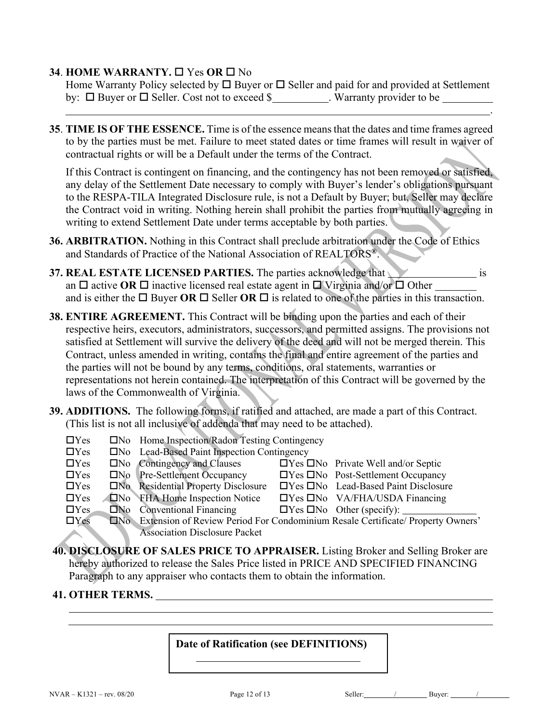#### **34. HOME WARRANTY,**  $\Box$  **Yes OR**  $\Box$  **No**

Home Warranty Policy selected by  $\square$  Buyer or  $\square$  Seller and paid for and provided at Settlement by:  $\Box$  Buyer or  $\Box$  Seller. Cost not to exceed \$ . Warranty provider to be .

**35**. **TIME IS OF THE ESSENCE.** Time is of the essence means that the dates and time frames agreed to by the parties must be met. Failure to meet stated dates or time frames will result in waiver of contractual rights or will be a Default under the terms of the Contract.

If this Contract is contingent on financing, and the contingency has not been removed or satisfied, any delay of the Settlement Date necessary to comply with Buyer's lender's obligations pursuant to the RESPA-TILA Integrated Disclosure rule, is not a Default by Buyer; but, Seller may declare the Contract void in writing. Nothing herein shall prohibit the parties from mutually agreeing in writing to extend Settlement Date under terms acceptable by both parties.

- **36. ARBITRATION.** Nothing in this Contract shall preclude arbitration under the Code of Ethics and Standards of Practice of the National Association of REALTORS**®**.
- **37. REAL ESTATE LICENSED PARTIES.** The parties acknowledge that is is an  $\Box$  active OR  $\Box$  inactive licensed real estate agent in  $\Box$  Virginia and/or  $\Box$  Other and is either the  $\square$  Buyer **OR**  $\square$  Seller **OR**  $\square$  is related to one of the parties in this transaction.
- **38. ENTIRE AGREEMENT.** This Contract will be binding upon the parties and each of their respective heirs, executors, administrators, successors, and permitted assigns. The provisions not satisfied at Settlement will survive the delivery of the deed and will not be merged therein. This Contract, unless amended in writing, contains the final and entire agreement of the parties and the parties will not be bound by any terms, conditions, oral statements, warranties or representations not herein contained. The interpretation of this Contract will be governed by the laws of the Commonwealth of Virginia.
- **39. ADDITIONS.** The following forms, if ratified and attached, are made a part of this Contract. (This list is not all inclusive of addenda that may need to be attached).
	- $\Box$ Yes  $\Box$ No Home Inspection/Radon Testing Contingency
	- **OXEC SET SET CONO CONORGER SETS**<br> **OXEC SETS**<br> **OXEC SETS**<br> **OXEC SETS**<br> **OXEC SETS**<br> **OXEC SETS**<br> **OXEC SETS**<br> **OXEC SETS**
	- oYes oNo Contingency and Clauses oYes oNo Private Well and/or Septic **OXER ONO Pre-Settlement Occupancy OXER ONO Post-Settlement Occupancy** OYes ONo Residential Property Disclosure OYes ONo Lead-Based Paint Disclosure OYes ONo FHA Home Inspection Notice OYes ONo VA/FHA/USDA Financing<br>
	OYes ONo Other (specify):
	-
	- $\Box$ No Conventional Financing  $\Box$ Yes  $\Box$ No Other (specify): DYes DNo Extension of Review Period For Condominium Resale Certificate/ Property Owners' Association Disclosure Packet
- **40. DISCLOSURE OF SALES PRICE TO APPRAISER.** Listing Broker and Selling Broker are hereby authorized to release the Sales Price listed in PRICE AND SPECIFIED FINANCING Paragraph to any appraiser who contacts them to obtain the information.

#### **41. OTHER TERMS.**

#### **Date of Ratification (see DEFINITIONS)**